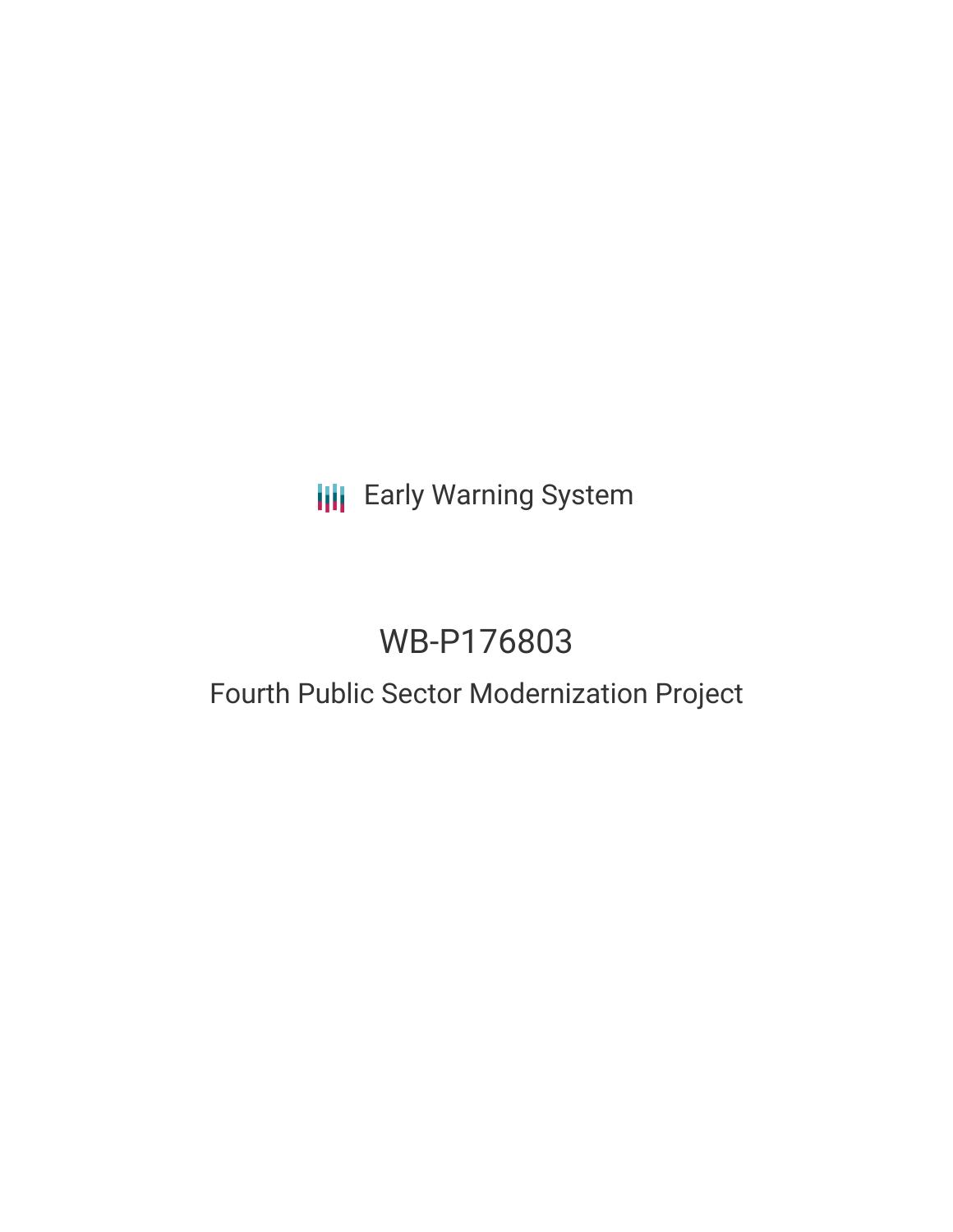# **III** Early Warning System

# WB-P176803

## Fourth Public Sector Modernization Project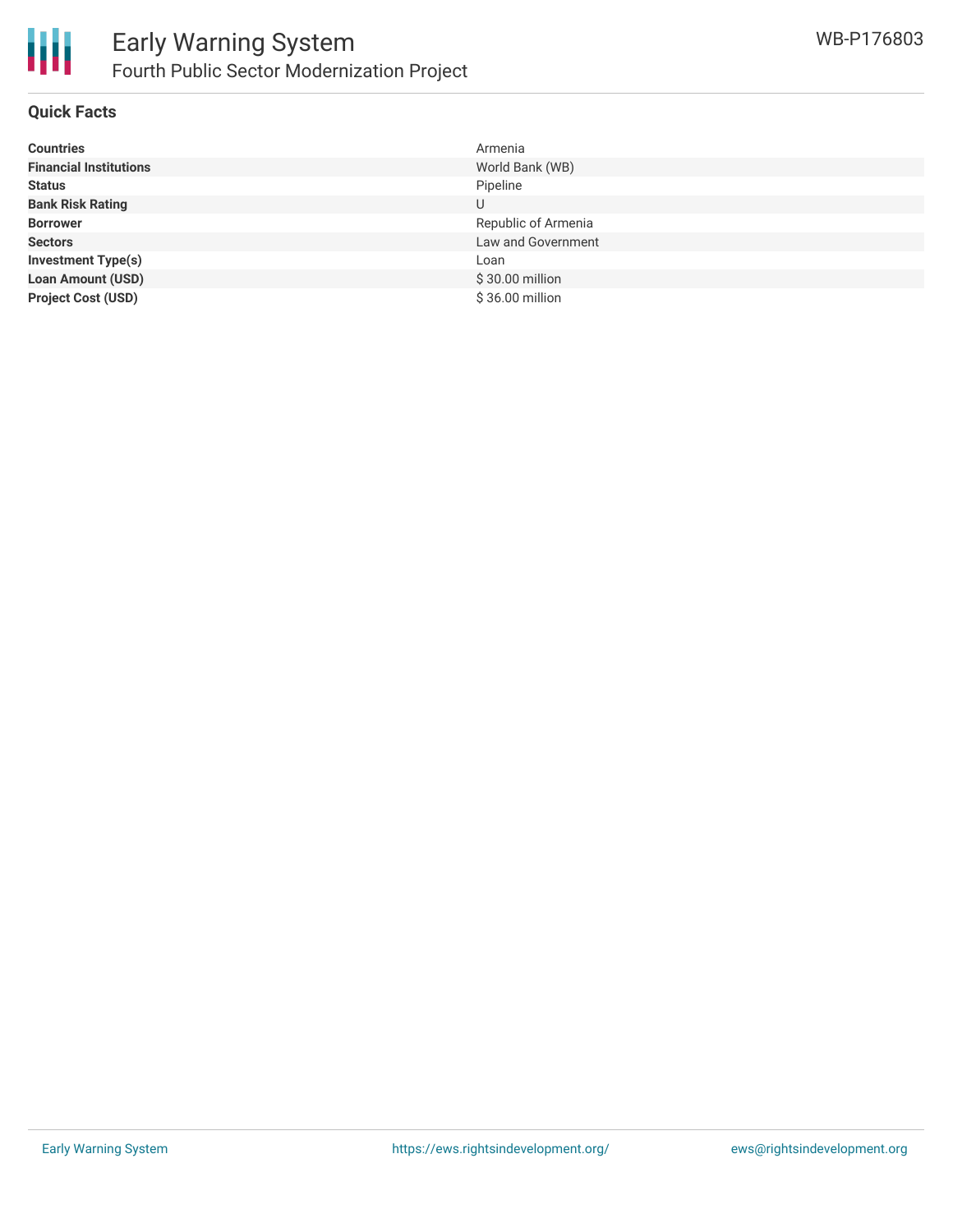

#### **Quick Facts**

| <b>Countries</b>              | Armenia             |
|-------------------------------|---------------------|
| <b>Financial Institutions</b> | World Bank (WB)     |
| <b>Status</b>                 | Pipeline            |
| <b>Bank Risk Rating</b>       | U                   |
| <b>Borrower</b>               | Republic of Armenia |
| <b>Sectors</b>                | Law and Government  |
| <b>Investment Type(s)</b>     | Loan                |
| <b>Loan Amount (USD)</b>      | $$30.00$ million    |
| <b>Project Cost (USD)</b>     | \$36.00 million     |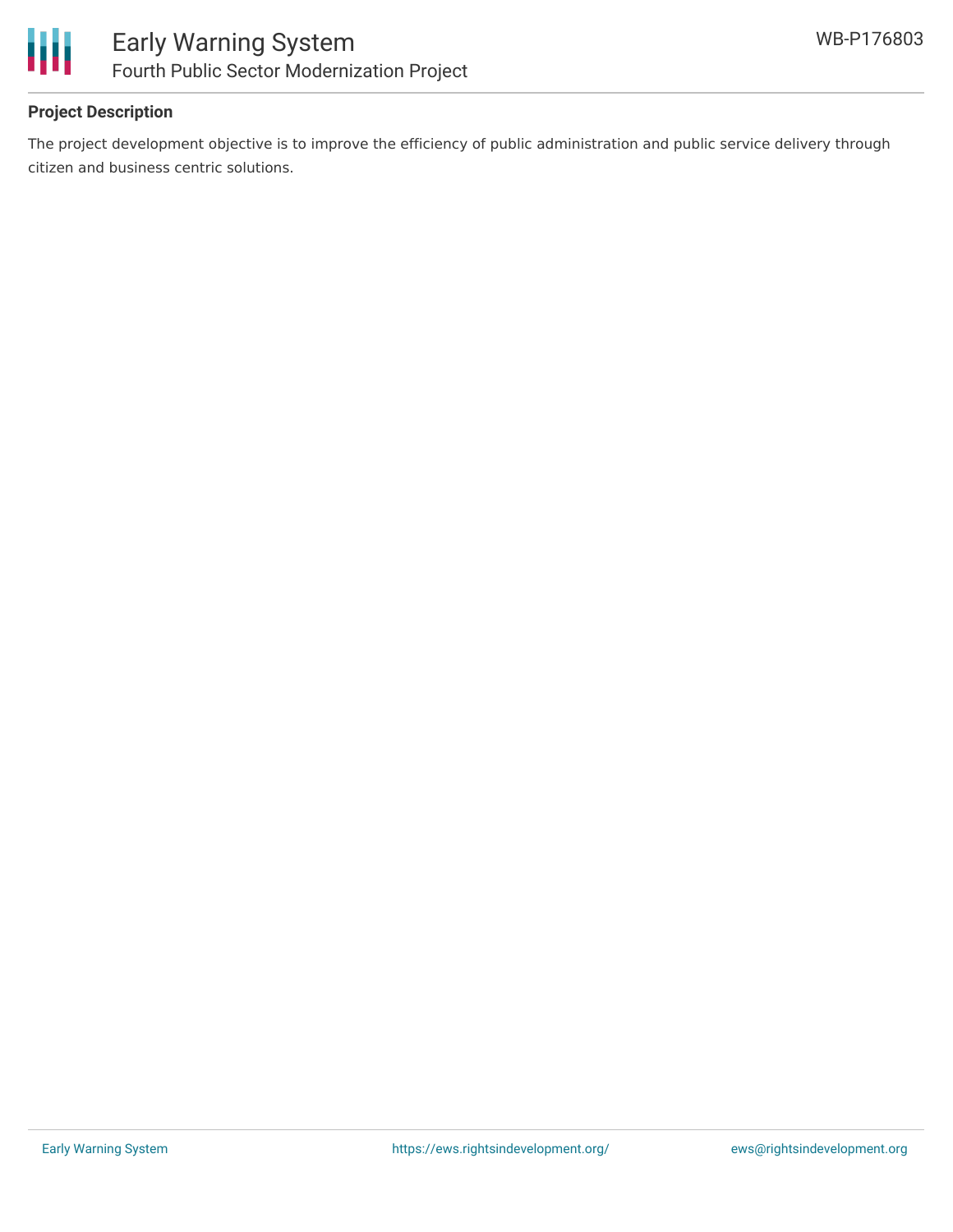

### **Project Description**

The project development objective is to improve the efficiency of public administration and public service delivery through citizen and business centric solutions.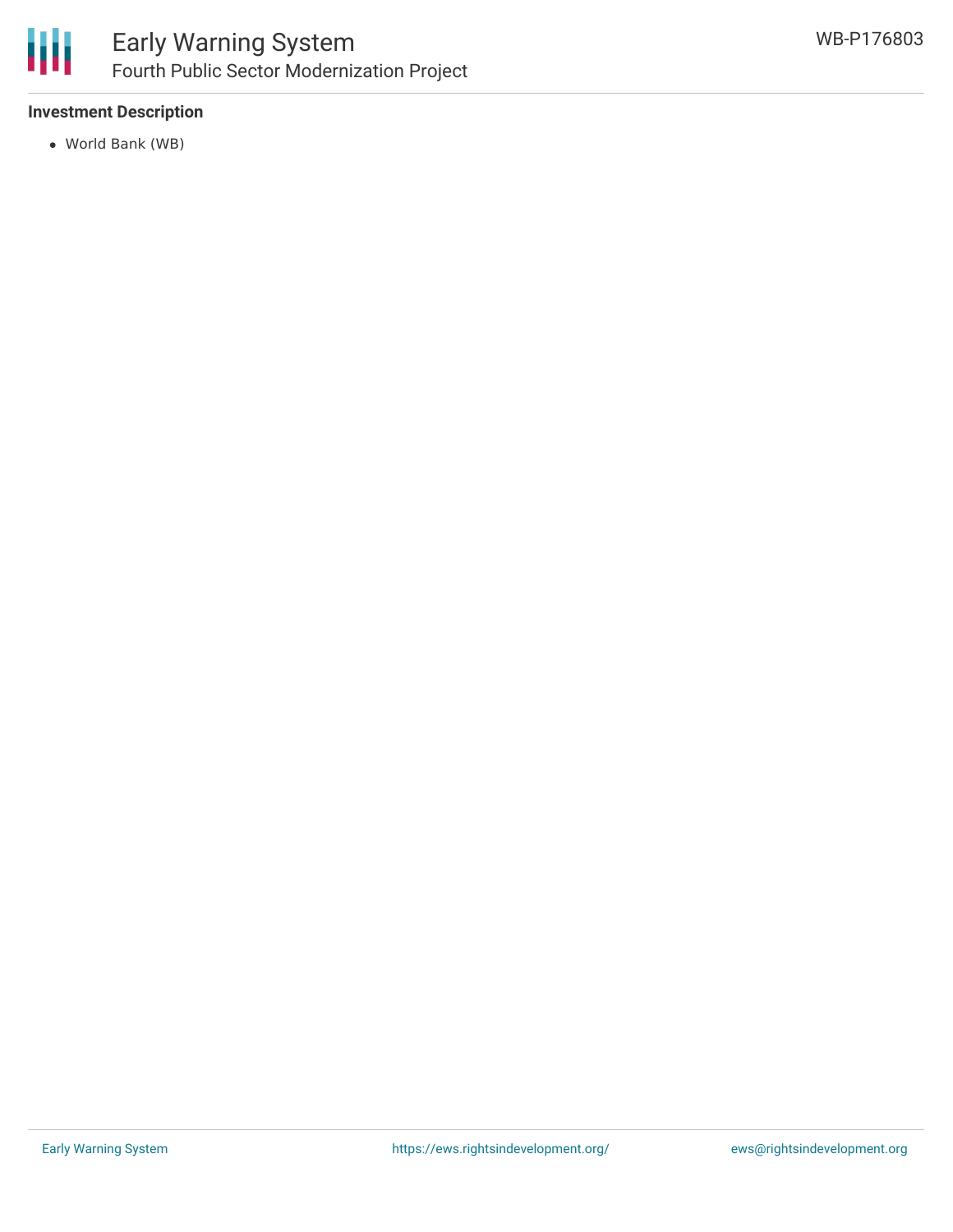

### **Investment Description**

World Bank (WB)